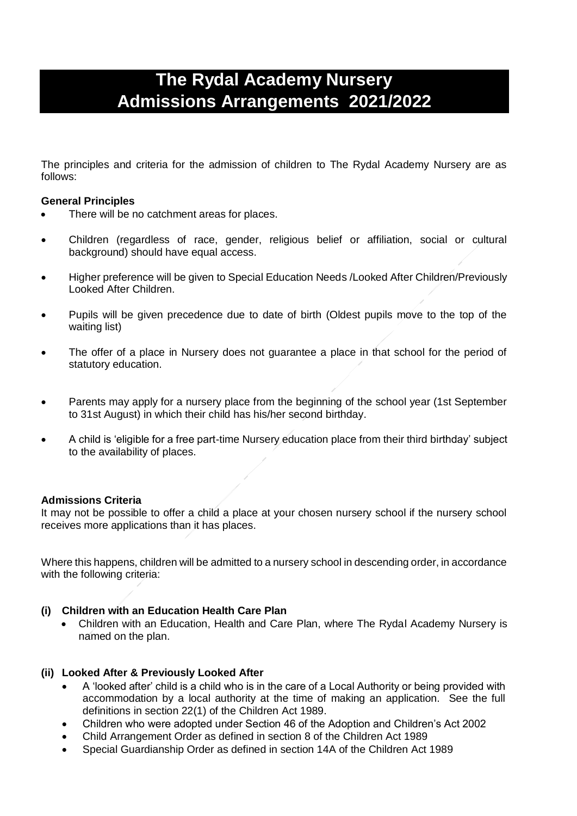# **The Rydal Academy Nursery Admissions Arrangements 2021/2022**

The principles and criteria for the admission of children to The Rydal Academy Nursery are as follows:

## **General Principles**

- There will be no catchment areas for places.
- Children (regardless of race, gender, religious belief or affiliation, social or cultural background) should have equal access.
- Higher preference will be given to Special Education Needs /Looked After Children/Previously Looked After Children.
- Pupils will be given precedence due to date of birth (Oldest pupils move to the top of the waiting list)
- The offer of a place in Nursery does not guarantee a place in that school for the period of statutory education.
- Parents may apply for a nursery place from the beginning of the school year (1st September to 31st August) in which their child has his/her second birthday.
- A child is 'eligible for a free part-time Nursery education place from their third birthday' subject to the availability of places.

# **Admissions Criteria**

It may not be possible to offer a child a place at your chosen nursery school if the nursery school receives more applications than it has places.

Where this happens, children will be admitted to a nursery school in descending order, in accordance with the following criteria:

# **(i) Children with an Education Health Care Plan**

• Children with an Education, Health and Care Plan, where The Rydal Academy Nursery is named on the plan.

# **(ii) Looked After & Previously Looked After**

- A 'looked after' child is a child who is in the care of a Local Authority or being provided with accommodation by a local authority at the time of making an application. See the full definitions in section 22(1) of the Children Act 1989.
- Children who were adopted under Section 46 of the Adoption and Children's Act 2002
- Child Arrangement Order as defined in section 8 of the Children Act 1989
- Special Guardianship Order as defined in section 14A of the Children Act 1989